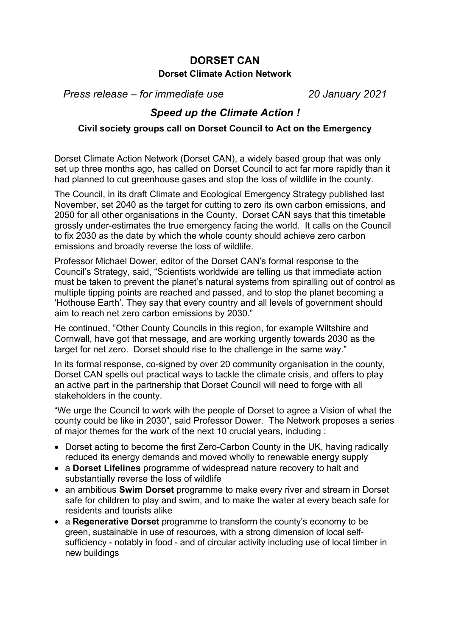## **DORSET CAN Dorset Climate Action Network**

*Press release – for immediate use 20 January 2021*

## *Speed up the Climate Action !*

## **Civil society groups call on Dorset Council to Act on the Emergency**

Dorset Climate Action Network (Dorset CAN), a widely based group that was only set up three months ago, has called on Dorset Council to act far more rapidly than it had planned to cut greenhouse gases and stop the loss of wildlife in the county.

The Council, in its draft Climate and Ecological Emergency Strategy published last November, set 2040 as the target for cutting to zero its own carbon emissions, and 2050 for all other organisations in the County. Dorset CAN says that this timetable grossly under-estimates the true emergency facing the world. It calls on the Council to fix 2030 as the date by which the whole county should achieve zero carbon emissions and broadly reverse the loss of wildlife.

Professor Michael Dower, editor of the Dorset CAN's formal response to the Council's Strategy, said, "Scientists worldwide are telling us that immediate action must be taken to prevent the planet's natural systems from spiralling out of control as multiple tipping points are reached and passed, and to stop the planet becoming a 'Hothouse Earth'. They say that every country and all levels of government should aim to reach net zero carbon emissions by 2030."

He continued, "Other County Councils in this region, for example Wiltshire and Cornwall, have got that message, and are working urgently towards 2030 as the target for net zero. Dorset should rise to the challenge in the same way."

In its formal response, co-signed by over 20 community organisation in the county, Dorset CAN spells out practical ways to tackle the climate crisis, and offers to play an active part in the partnership that Dorset Council will need to forge with all stakeholders in the county.

"We urge the Council to work with the people of Dorset to agree a Vision of what the county could be like in 2030", said Professor Dower. The Network proposes a series of major themes for the work of the next 10 crucial years, including :

- Dorset acting to become the first Zero-Carbon County in the UK, having radically reduced its energy demands and moved wholly to renewable energy supply
- a **Dorset Lifelines** programme of widespread nature recovery to halt and substantially reverse the loss of wildlife
- an ambitious **Swim Dorset** programme to make every river and stream in Dorset safe for children to play and swim, and to make the water at every beach safe for residents and tourists alike
- a **Regenerative Dorset** programme to transform the county's economy to be green, sustainable in use of resources, with a strong dimension of local selfsufficiency - notably in food - and of circular activity including use of local timber in new buildings